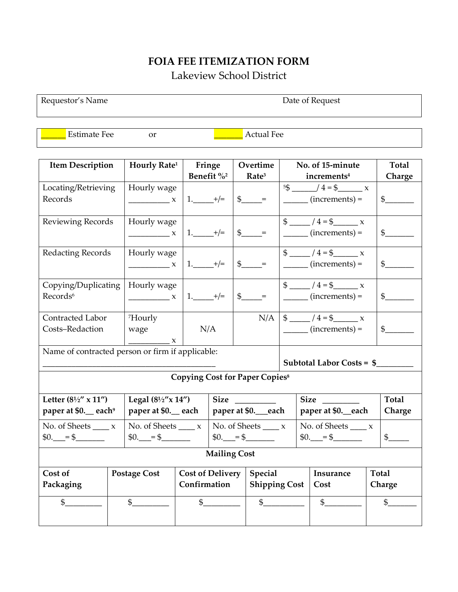## **FOIA FEE ITEMIZATION FORM** Lakeview School District

Requestor's Name Date of Request

Estimate Fee or **Quarter External Fee** 

| <b>Item Description</b>                                           | Hourly Rate <sup>1</sup> | Fringe<br>Benefit % <sup>2</sup> |                    | Overtime                           |                      | No. of 15-minute                                                                   |        | <b>Total</b>   |  |  |
|-------------------------------------------------------------------|--------------------------|----------------------------------|--------------------|------------------------------------|----------------------|------------------------------------------------------------------------------------|--------|----------------|--|--|
|                                                                   |                          |                                  |                    | Rate <sup>3</sup>                  |                      | increments <sup>4</sup>                                                            |        | Charge         |  |  |
| Locating/Retrieving                                               | Hourly wage              |                                  |                    |                                    |                      | $5\frac{3}{5}$ /4=\$ x                                                             |        |                |  |  |
| Records                                                           | $\frac{1}{1}$ x          | $1.$ $+/-$                       |                    | $\frac{1}{2}$ =                    |                      | $\frac{1}{\sqrt{1-\frac{1}{2}}\cdot\frac{1}{\sqrt{1-\frac{1}{2}}}}$ (increments) = |        | $\frac{1}{2}$  |  |  |
|                                                                   |                          |                                  |                    |                                    |                      |                                                                                    |        |                |  |  |
| <b>Reviewing Records</b>                                          | Hourly wage              |                                  |                    |                                    |                      | $\frac{1}{2}$ $\frac{1}{4}$ = \$ $\frac{1}{2}$ x                                   |        |                |  |  |
|                                                                   | $\mathbf{x}$             | 1. $+/-$                         |                    | $\int$ $\int$ =                    |                      | $\frac{1}{\sqrt{1-\frac{1}{2}}\cdot\frac{1}{\sqrt{1-\frac{1}{2}}}}$ (increments) = |        | $\frac{1}{2}$  |  |  |
|                                                                   |                          |                                  |                    |                                    |                      |                                                                                    |        |                |  |  |
| Redacting Records                                                 | Hourly wage              |                                  |                    |                                    |                      | \$ $/4 = $$ x                                                                      |        |                |  |  |
|                                                                   | $\frac{1}{1}$            | $1.$ $+/-$                       |                    | $\frac{1}{2}$ =                    |                      | $\frac{1}{\sqrt{1-\frac{1}{2}}\cdot\frac{1}{\sqrt{1-\frac{1}{2}}}}$ (increments) = |        | $\frac{1}{2}$  |  |  |
|                                                                   |                          |                                  |                    |                                    |                      |                                                                                    |        |                |  |  |
| Copying/Duplicating                                               | Hourly wage              |                                  |                    |                                    |                      | $\frac{1}{2}$ / 4 = \$                                                             |        |                |  |  |
| Records <sup>6</sup>                                              | $\frac{1}{1}$ x          | $1.$ $+/-$                       |                    | $\$\$ =                            |                      | $\frac{1}{\sqrt{1-\frac{1}{2}}\cdot\frac{1}{\sqrt{1-\frac{1}{2}}}}$ (increments) = |        | $\frac{1}{2}$  |  |  |
|                                                                   |                          |                                  |                    |                                    |                      |                                                                                    |        |                |  |  |
| Contracted Labor                                                  | <sup>7</sup> Hourly      |                                  |                    |                                    |                      | $N/A$   \$ _____ / 4 = \$ _____ x                                                  |        |                |  |  |
| Costs-Redaction                                                   | wage                     | N/A                              |                    |                                    |                      | $\frac{1}{\sqrt{1-\frac{1}{2}}\cdot\frac{1}{\sqrt{1-\frac{1}{2}}}}$ (increments) = |        | $\frac{1}{2}$  |  |  |
|                                                                   | $\mathbf{x}$             |                                  |                    |                                    |                      |                                                                                    |        |                |  |  |
| Name of contracted person or firm if applicable:                  |                          |                                  |                    |                                    |                      |                                                                                    |        |                |  |  |
| Subtotal Labor Costs = \$                                         |                          |                                  |                    |                                    |                      |                                                                                    |        |                |  |  |
|                                                                   |                          |                                  |                    |                                    |                      |                                                                                    |        |                |  |  |
| <b>Copying Cost for Paper Copies<sup>8</sup></b>                  |                          |                                  |                    |                                    |                      |                                                                                    |        |                |  |  |
| Letter $(8\frac{1}{2}$ " x 11")<br>Legal $(8\frac{1}{2}x$ $14'')$ |                          |                                  | <b>Size</b>        |                                    | Size                 |                                                                                    |        | <b>Total</b>   |  |  |
| paper at \$0._ each <sup>9</sup><br>paper at \$0. each            |                          |                                  | paper at \$0._each |                                    | paper at \$0. each   |                                                                                    |        | Charge         |  |  |
| No. of Sheets $\_\_\_x$                                           |                          | No. of Sheets $\_\_\_x$          |                    | No. of Sheets $\_\_\_x$            |                      | No. of Sheets $\_\_\_x$                                                            |        |                |  |  |
| $$0.$ = \$<br>$$0.$ = \$                                          |                          |                                  | $$0.$ = \$         |                                    |                      | $$0.$ = \$<br>$\frac{1}{2}$                                                        |        |                |  |  |
|                                                                   |                          |                                  |                    |                                    |                      |                                                                                    |        |                |  |  |
| <b>Mailing Cost</b>                                               |                          |                                  |                    |                                    |                      |                                                                                    |        |                |  |  |
| Cost of                                                           | <b>Postage Cost</b>      |                                  |                    | <b>Cost of Delivery</b><br>Special |                      | Insurance                                                                          |        | Total          |  |  |
| Packaging                                                         |                          |                                  | Confirmation       |                                    | <b>Shipping Cost</b> | Cost                                                                               | Charge |                |  |  |
| $\mathfrak{S}$                                                    | $\frac{1}{2}$            | $\mathfrak{S}$                   |                    | $\mathfrak{S}$                     |                      | $\frac{1}{2}$                                                                      |        | $\mathfrak{S}$ |  |  |
|                                                                   |                          |                                  |                    |                                    |                      |                                                                                    |        |                |  |  |
|                                                                   |                          |                                  |                    |                                    |                      |                                                                                    |        |                |  |  |